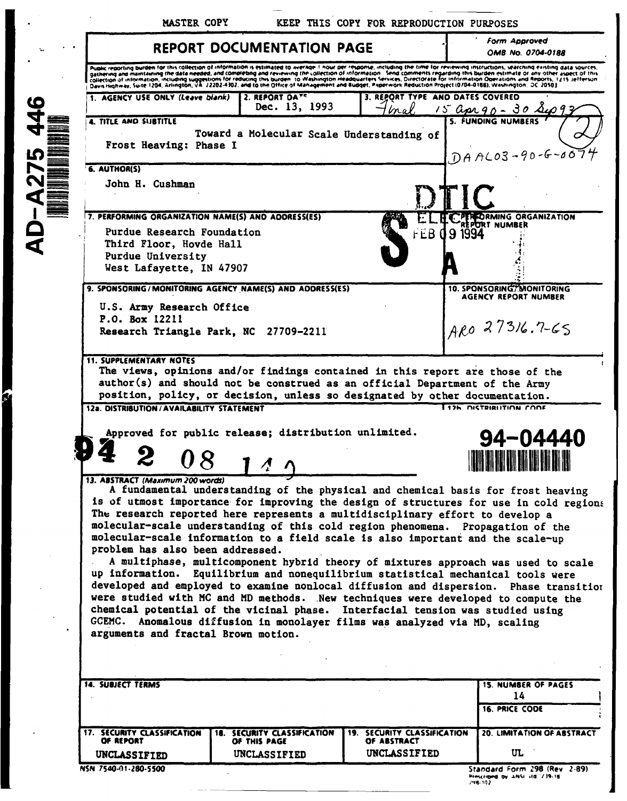MASTER COPY

KEEP THIS COPY FOR REPRODUCTION PURPOSES

L.

 $\blacksquare$ 

|                                                                                                                                               | <b>REPORT DOCUMENTATION PAGE</b>                                                                                                                                                                                                                                                                                                                                                                                                                                                                                                                                                             |                                | <b>Form Approved</b><br>OMB No. 0704-0188                                                                                                                                                                                                                                                                                                                                                                                                                                                                                                                |
|-----------------------------------------------------------------------------------------------------------------------------------------------|----------------------------------------------------------------------------------------------------------------------------------------------------------------------------------------------------------------------------------------------------------------------------------------------------------------------------------------------------------------------------------------------------------------------------------------------------------------------------------------------------------------------------------------------------------------------------------------------|--------------------------------|----------------------------------------------------------------------------------------------------------------------------------------------------------------------------------------------------------------------------------------------------------------------------------------------------------------------------------------------------------------------------------------------------------------------------------------------------------------------------------------------------------------------------------------------------------|
|                                                                                                                                               | Davis Highway, Suite 1204, Arlington, VA 22202-4302, and to the Office of Management and Budget, Paperwork Reduction Project (0704-0188), Washington, DC 20503                                                                                                                                                                                                                                                                                                                                                                                                                               |                                | Pupilic reporting burden for this collection of information is estimated to average 1 hour per response, including the time for reviewing instructions, searching data sources.<br>gathering and maintaining the data needed, and completing and reviewing the collection of information. Send comments regarding this burden estimate or any other aspect of this<br>collection of information, including suggestions for reducing this burden, to Washington Headquarters Services, Directorate for information Operations and Reports, 1215 Jefferson |
| 1. AGENCY USE ONLY (Leave blank)                                                                                                              | 2. REPORT DATS<br>Dec. 13, 1993                                                                                                                                                                                                                                                                                                                                                                                                                                                                                                                                                              | REPORT TYPE                    | AND DATES COVERED<br>15 apr 90 - 30 sup 93<br><b>5. FUNDING NUMBERS</b>                                                                                                                                                                                                                                                                                                                                                                                                                                                                                  |
| <b>4. TITLE AND SUBTITLE</b><br>Frost Heaving: Phase I                                                                                        | Toward a Molecular Scale Understanding of                                                                                                                                                                                                                                                                                                                                                                                                                                                                                                                                                    |                                | $DAAC03 - 90 - 6 - 007$                                                                                                                                                                                                                                                                                                                                                                                                                                                                                                                                  |
| 6. AUTHOR(S)                                                                                                                                  |                                                                                                                                                                                                                                                                                                                                                                                                                                                                                                                                                                                              |                                |                                                                                                                                                                                                                                                                                                                                                                                                                                                                                                                                                          |
| John H. Cushman                                                                                                                               |                                                                                                                                                                                                                                                                                                                                                                                                                                                                                                                                                                                              |                                |                                                                                                                                                                                                                                                                                                                                                                                                                                                                                                                                                          |
| 7. PERFORMING ORGANIZATION NAME(S) AND ADDRESS(ES)                                                                                            |                                                                                                                                                                                                                                                                                                                                                                                                                                                                                                                                                                                              |                                | <b>PERFORMING ORGANIZATION</b><br>EPORT NUMBER                                                                                                                                                                                                                                                                                                                                                                                                                                                                                                           |
| Purdue Research Foundation                                                                                                                    |                                                                                                                                                                                                                                                                                                                                                                                                                                                                                                                                                                                              | <b>FEB</b>                     | 9 1994                                                                                                                                                                                                                                                                                                                                                                                                                                                                                                                                                   |
| Third Floor, Hovde Hall<br>Purdue University                                                                                                  |                                                                                                                                                                                                                                                                                                                                                                                                                                                                                                                                                                                              |                                |                                                                                                                                                                                                                                                                                                                                                                                                                                                                                                                                                          |
| West Lafayette, IN 47907                                                                                                                      |                                                                                                                                                                                                                                                                                                                                                                                                                                                                                                                                                                                              |                                |                                                                                                                                                                                                                                                                                                                                                                                                                                                                                                                                                          |
|                                                                                                                                               | 9. SPONSORING/MONITORING AGENCY NAME(S) AND ADDRESS(ES)                                                                                                                                                                                                                                                                                                                                                                                                                                                                                                                                      |                                | <b>10. SPONSORINGT MONITORING</b>                                                                                                                                                                                                                                                                                                                                                                                                                                                                                                                        |
| U.S. Army Research Office                                                                                                                     |                                                                                                                                                                                                                                                                                                                                                                                                                                                                                                                                                                                              |                                | AGENCY REPORT NUMBER                                                                                                                                                                                                                                                                                                                                                                                                                                                                                                                                     |
| P.O. Box 12211                                                                                                                                |                                                                                                                                                                                                                                                                                                                                                                                                                                                                                                                                                                                              |                                | ARO 27316.7-65                                                                                                                                                                                                                                                                                                                                                                                                                                                                                                                                           |
|                                                                                                                                               | Research Triangle Park, NC 27709-2211                                                                                                                                                                                                                                                                                                                                                                                                                                                                                                                                                        |                                |                                                                                                                                                                                                                                                                                                                                                                                                                                                                                                                                                          |
| 12a. DISTRIBUTION/AVAILABILITY STATEMENT                                                                                                      | The views, opinions and/or findings contained in this report are those of the<br>author(s) and should not be construed as an official Department of the Army<br>position, policy, or decision, unless so designated by other documentation.<br>Approved for public release; distribution unlimited.                                                                                                                                                                                                                                                                                          |                                | 12h DISTRIBUTION CODE                                                                                                                                                                                                                                                                                                                                                                                                                                                                                                                                    |
|                                                                                                                                               |                                                                                                                                                                                                                                                                                                                                                                                                                                                                                                                                                                                              |                                | 94-04440                                                                                                                                                                                                                                                                                                                                                                                                                                                                                                                                                 |
| <b>11. SUPPLEMENTARY NOTES</b><br>13. ABSTRACT (Maximum 200 words)<br>problem has also been addressed.<br>arguments and fractal Brown motion. | The research reported here represents a multidisciplinary effort to develop a<br>molecular-scale understanding of this cold region phenomena. Propagation of the<br>molecular-scale information to a field scale is also important and the scale-up<br>up information. Equilibrium and nonequilibrium statistical mechanical tools were<br>were studied with MC and MD methods. New techniques were developed to compute the<br>chemical potential of the vicinal phase. Interfacial tension was studied using<br>GCEMC. Anomalous diffusion in monolayer films was analyzed via MD, scaling |                                |                                                                                                                                                                                                                                                                                                                                                                                                                                                                                                                                                          |
| <b>14. SUBJECT TERMS</b>                                                                                                                      |                                                                                                                                                                                                                                                                                                                                                                                                                                                                                                                                                                                              |                                | <b>15. NUMBER OF PAGES</b><br>14                                                                                                                                                                                                                                                                                                                                                                                                                                                                                                                         |
|                                                                                                                                               |                                                                                                                                                                                                                                                                                                                                                                                                                                                                                                                                                                                              |                                | A fundamental understanding of the physical and chemical basis for frost heaving<br>is of utmost importance for improving the design of structures for use in cold regions<br>A multiphase, multicomponent hybrid theory of mixtures approach was used to scale<br>developed and employed to examine nonlocal diffusion and dispersion. Phase transition<br><b>16. PRICE CODE</b>                                                                                                                                                                        |
| <b>17. SECURITY CLASSIFICATION</b>                                                                                                            | SECURITY CLASSIFICATION                                                                                                                                                                                                                                                                                                                                                                                                                                                                                                                                                                      | SECURITY CLASSIFICATION<br>19. | 20. LIMITATION OF ABSTRACT                                                                                                                                                                                                                                                                                                                                                                                                                                                                                                                               |
| OF REPORT<br>UNCLASSIFIED                                                                                                                     | OF THIS PAGE<br>UNCLASSIFIED                                                                                                                                                                                                                                                                                                                                                                                                                                                                                                                                                                 | OF ABSTRACT<br>UNCLASSIFIED    | UL                                                                                                                                                                                                                                                                                                                                                                                                                                                                                                                                                       |

J

Standard Form 298 (Rev. 2-89)<br>Prescribed by ANSI 3td (239-18)<br>298-102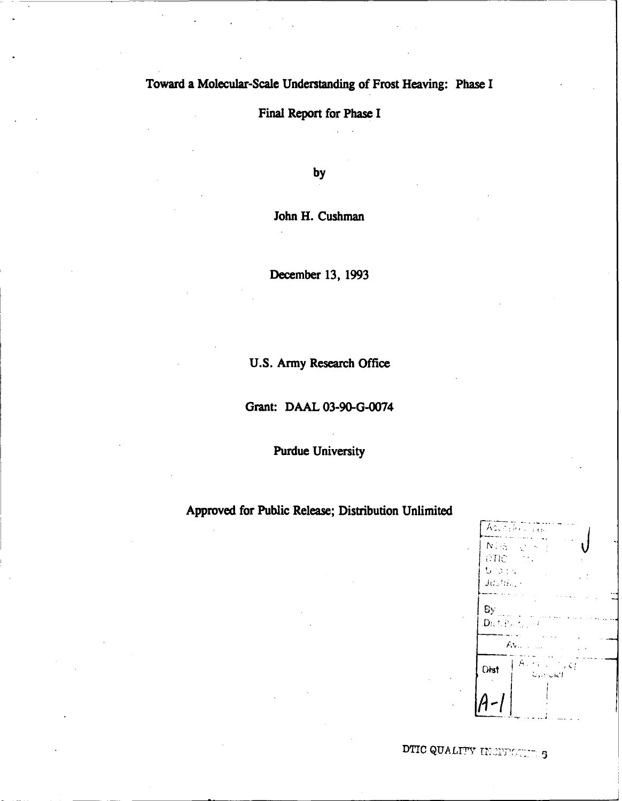# Toward a Molecular-Scale Understanding of Frost Heaving: Phase I

# Final Report for Phase I

by

John H. Cushman

December 13, 1993

U.S. Army Research Office

Grant: DAAL 03-90-G-0074

**Purdue University** 

## Approved for Public Release; Distribution Unlimited

| Accession Trop                     |                                                                 |  |
|------------------------------------|-----------------------------------------------------------------|--|
| $N \gtrsim$                        | $\mathcal{L}^{\mathcal{N}_{\mathcal{N}}}$<br>$\epsilon_{\rm s}$ |  |
| DTIC<br>$U$ is $\mathbb{R}$ .      |                                                                 |  |
| Justine (                          |                                                                 |  |
| By<br>$\mathbf{D}$ ich Pontini (1) |                                                                 |  |
| $Av_{\infty}$                      |                                                                 |  |
| Dist                               | Allea Linguez<br>المان البرت                                    |  |
|                                    |                                                                 |  |
|                                    |                                                                 |  |

DTIC QUALITY INCIDENTIALS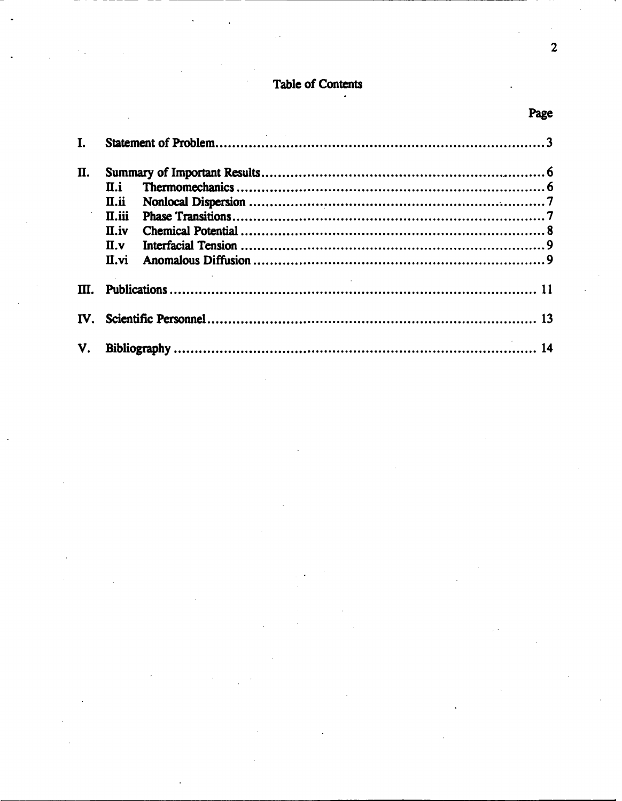# **Table of Contents**

 $\cdot$ 

| I. |            |    |
|----|------------|----|
| Π. |            |    |
|    | II.i       |    |
|    | II.ii      |    |
|    | $\Pi$ .iii |    |
|    | II.iv      |    |
|    | $\Pi$ .v   |    |
|    | $\Pi$ .vi  |    |
| M. |            |    |
|    |            |    |
| V. |            | 14 |

Page

 $\bar{z}$  $\overline{\mathbf{2}}$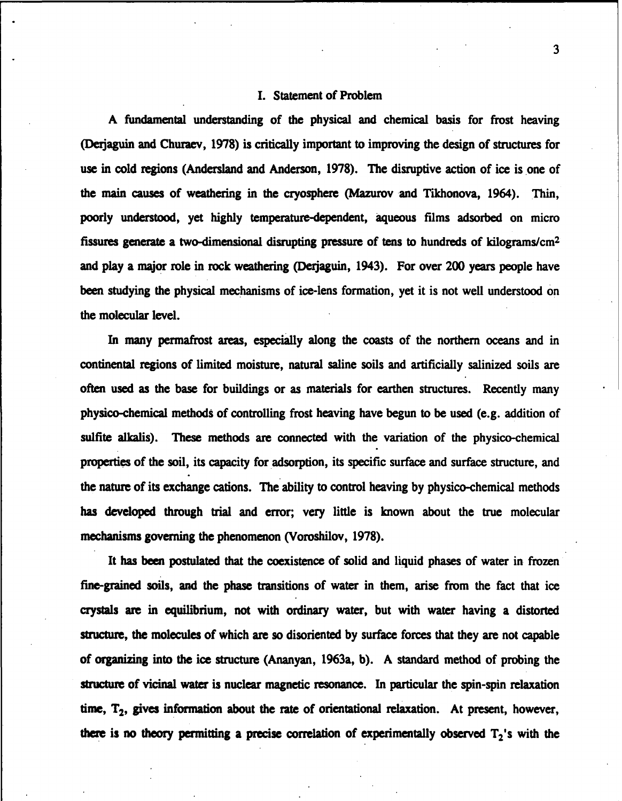### I. Statement of Problem

A fundamental understanding of the physical and chemical basis for frost heaving (Derijaguin and Churaev, 1978) is critically important to improving the design of structures for use in cold regions (Andersland and Anderson, 1978). The disruptive action of ice is one of the main causes of weathering in the cryosphere (Mazurov and Tikhonova, 1964). Thin, poorly understood, yet highly temperature-dependent, aqueous films adsorbed on micro fissures generate a two-dimensional disrupting pressure of tens to hundreds of kilograms/ $cm<sup>2</sup>$ and play a major role in rock weathering (Dejaguin, 1943). For over 200 years people have been studying the physical mechanisms of ice-lens formation, yet it is not well understood on the molecular level.

In many permafrost areas, especially along the coasts of the northern oceans and in continental regions of limited moisture, natural saline soils and artificially salinized soils are often used as the base for buildings or as materials for earthen structures. Recently many physico-chemical methods of controlling frost heaving have begun to be used (e.g. addition of sulfite alkalis). These methods are connected with the variation of the physico-chemical properties of the soil, its capacity for adsorption, its specific surface and surface structure, and the nature of its exchange cations. The ability to control heaving by physico-chemical methods has developed through trial and error; very little is known about the true molecular mechanisms governing the phenomenon (Voroshilov, 1978).

It has been postulated that the coexistence of solid and liquid phases of water in frozen fine-grained soils, and the phase transitions of water in them, arise from the fact that ice crystals are in equilibrium, not with ordinary water, but with water having a distorted structure, the molecules of which are so disoriented by surface forces that they are not capable of organizing into the ice structure (Ananyan, 1963a, b). A standard method of probing the structure of vicinal water is nuclear magnetic resonance. In particular the spin-spin relaxation time,  $T_2$ , gives information about the rate of orientational relaxation. At present, however, there is no theory permitting a precise correlation of experimentally observed  $T_2$ 's with the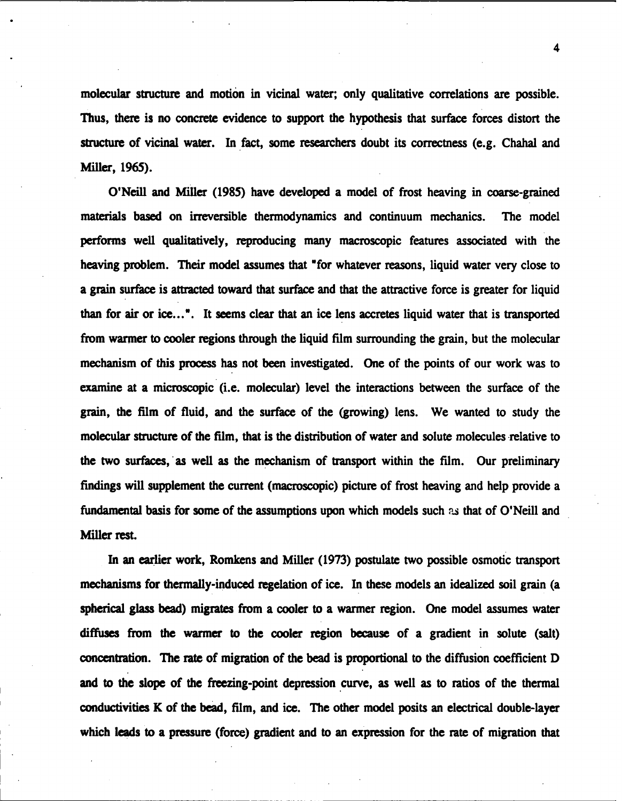molecular structure and motion in vicinal water; only qualitative correlations are possible. Thus, there is no concrete evidence to support the hypothesis that surface forces distort the structure of vicinal water. In fact, some researchers doubt its correctness (e.g. Chahal and Miller, 1965).

O'Neill and Miller (1985) have developed a model of frost heaving in coarse-grained materials based on irreversible thermodynamics and continuum mechanics. The model performs well qualitatively, reproducing many macroscopic features associated with the heaving problem. Their model assumes that "for whatever reasons, liquid water very close to a grain surface is attracted toward that surface and that the attractive force is greater for liquid than for air or ice...". It seems clear that an ice lens accretes liquid water that is transported from warmer to cooler regions through the liquid film surrounding the grain, but the molecular mechanism of this process has not been investigated. One of the points of our work was to examine at a microscopic (i.e. molecular) level the interactions between the surface of the grain, the film of fluid, and the surface of the (growing) lens. We wanted to study the molecular structure of the film, that is the distribution of water and solute molecules relative to the two surfaces, as well as the mechanism of transport within the film. Our preliminary findings will supplement the current (macroscopic) picture of frost heaving and help provide a fundamental basis for some of the assumptions upon which models such as that of O'Neill and Miller rest.

In an earlier work, Romkens and Miller (1973) postulate two possible osmotic transport mechanisms for thermally-induced regelation of ice. In these models an idealized soil grain (a spherical glass bead) migrates from a cooler to a warmer region. One model assumes water diffuses from the warmer to the cooler region because of a gradient in solute (salt) concentration. The rate of migration of the bead is proportional to the diffusion coefficient D and to the slope of the freezing-point depression curve, as well as to ratios of the thermal conductivities K of the bead, film, and ice. The other model posits an electrical double-layer which leads to a pressure (force) gradient and to an expression for the rate of migration that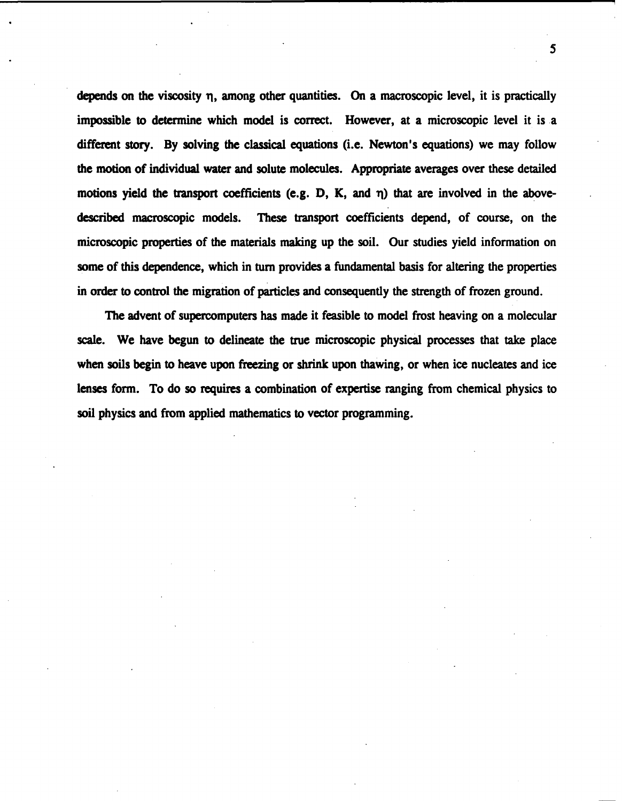depends on the viscosity  $\eta$ , among other quantities. On a macroscopic level, it is practically impossible to determine which model is correct. However, at a microscopic level it is a different story. By solving the classical equations (i.e. Newton's equations) we may follow the motion of individual water and solute molecules. Appropriate averages over these detailed motions yield the transport coefficients (e.g.  $D$ ,  $K$ , and  $\eta$ ) that are involved in the abovedescribed macroscopic models. These transport coefficients depend, of course, on the microscopic properties of the materials making up the soil. Our studies yield information on some of this dependence, which in turn provides a fundamental basis for altering the properties in order to control the migration of particles and consequently the strength of frozen ground.

The advent of supercomputers has made it feasible to model frost heaving on a molecular scale. We have begun to delineate the true microscopic physical processes that take place when soils begin to heave upon freezing or shrink upon thawing, or when ice nucleates and ice lenses form. To do so requires a combination of expertise ranging from chemical physics to soil physics and from applied mathematics to vector programming.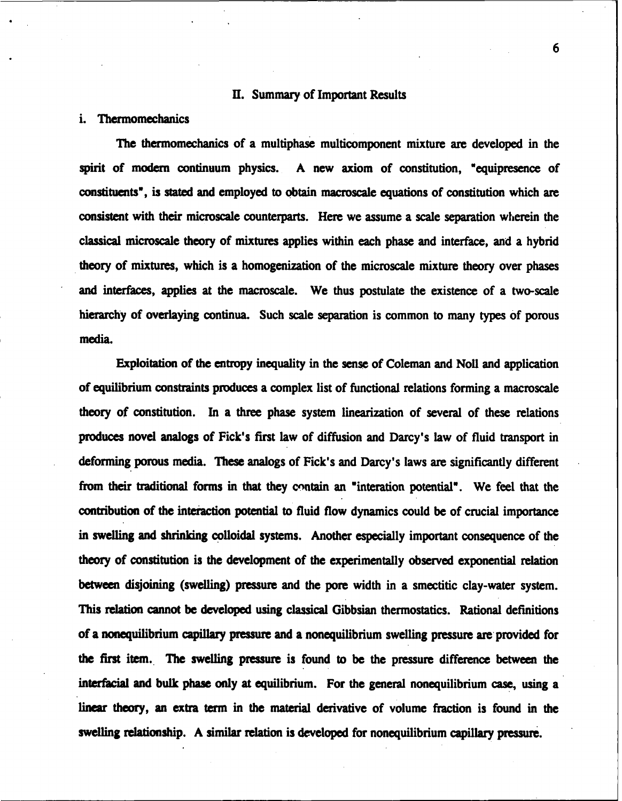#### **H.** Summary of Important Results

### i. Thermomechanics

The thermomechanics of a multiphase multicomponent mixture are developed in the spirit of modern continuum physics. A new axiom of constitution, "equipresence of constituents', is stated and employed to obtain macroscale equations of constitution which are consistent with their microscale counterparts. Here we assume a scale separation wherein the classical microscale theory of mixtures applies within each phase and interface, and a hybrid theory of mixtures, which is a homogenization of the microscale mixture theory over phases and interfaces, applies at the macroscale. We thus postulate the existence of a two-scale hierarchy of overlaying continua. Such scale separation is common to many types of porous media.

Exploitation of the entropy inequality in the sense of Coleman and Noll and application of equilibrium constraints produces a complex list of functional relations forming a macroscale theory of constitution. In a three phase system linearization of several of these relations produces novel analogs of Fick's first law of diffusion and Darcy's law of fluid transport in deforming porous media. These analogs of Pick's and Darcy's laws are significantly different from their traditional forms in that they contain an 'interation potential'. We feel that the contribution of the interaction potential to fluid flow dynamics could be of crucial importance in swelling and shrinking colloidal systems. Another especially important consequence of the theory of constitution is the development of the experimentally observed exponential relation between disjoining (swelling) pressure and the pore width in a smectitic clay-water system. This relation cannot be developed using classical Gibbsian thermostatics. Rational definitions of a nonequilibrium capillary pressure and a nonequilibrium swelling pressure are provided for the first item. The swelling pressure is found to be the pressure difference between the interfacial and bulk phase only at equilibrium. For the general nonequilibrium case, using a linear theory, an extra term in the material derivative of volume fraction is found in the swelling relationship. A similar relation is developed for nonequilibrium capillary pressure.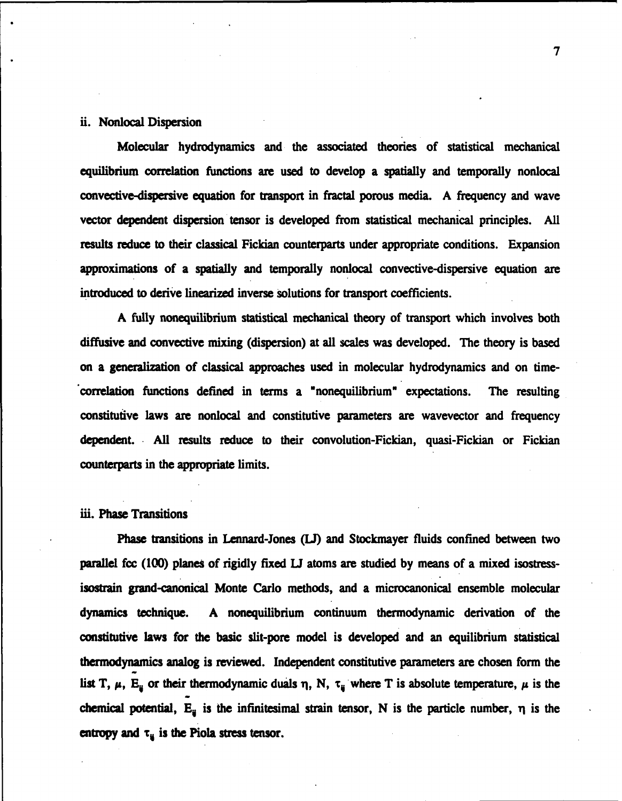### ii. Nonlocal Dispersion

Molecular hydrodynamics and the associated theories of statistical mechanical equilibrium correlation functions are used to develop a spatially and temporally nonlocal convective-dispersive equation for transport in fractal porous media. A frequency and wave vector dependent dispersion tensor is developed from statistical mechanical principles. All results reduce to their classical Fickian counterparts under appropriate conditions. Expansion approximations of a spatially and temporally nonlocal convective-dispersive equation are introduced to derive linearized inverse solutions for transport coefficients.

A fully nonequilibrium statistical mechanical theory of transport which involves both diffusive and convective mixing (dispersion) at all scales was developed. The theory is based on a generalization of classical approaches used in molecular hydrodynamics and on time- "correlation functions defined in terms a "nonequilibrium" expectations. The resulting constitutive laws are nonlocal and constitutive parameters are wavevector and frequency dependent. All results reduce to their convolution-Fickian, quasi-Fickian or Fickian counterparts in the appropriate limits.

#### iii. Phase Transitions

Phase transitions in Lennard-Jones *(U)* and Stockmayer fluids confined between two parallel fcc (100) planes of rigidly fixed **U** atoms are studied by means of a mixed isostressisostrain grand-canonical Monte Carlo methods, and a microcanonical ensemble molecular dynamics technique. A nonequilibrium continuum thermodynamic derivation of the constitutive laws for the basic slit-pore model is developed and an equilibrium statistical thermodynamics analog is reviewed. Independent constitutive parameters are chosen form the list T,  $\mu$ , E<sub>ij</sub> or their thermodynamic duals  $\eta$ , N,  $\tau_{ij}$  where T is absolute temperature,  $\mu$  is the chemical potential,  $E_{ij}$  is the infinitesimal strain tensor, N is the particle number,  $\eta$  is the entropy and  $\tau_{ij}$  is the Piola stress tensor.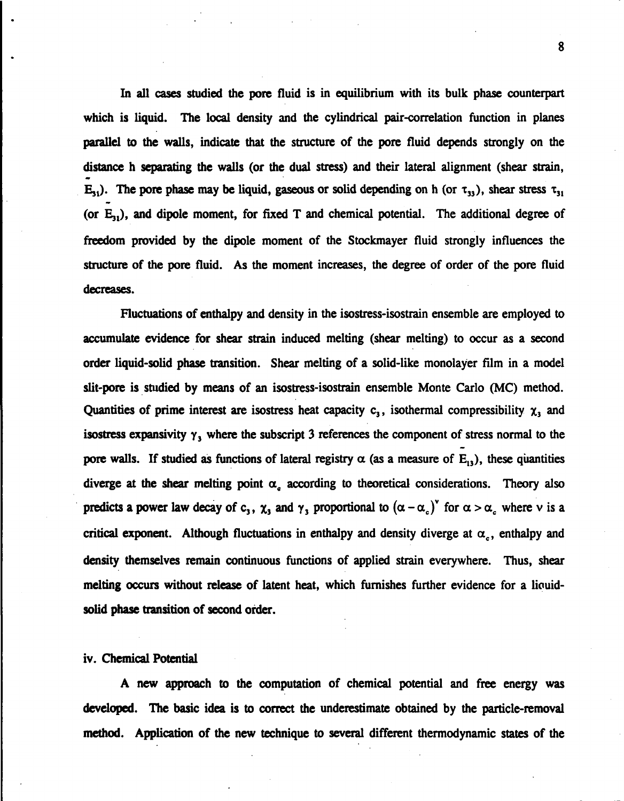In all cases studied the pore fluid is in equilibrium with its bulk phase counterpart which is liquid. The local density and the cylindrical pair-correlation function in planes parallel to the walls, indicate that the structure of the pore fluid depends strongly on the distance h separating the walls (or the dual stress) and their lateral alignment (shear strain,  $E_{31}$ ). The pore phase may be liquid, gaseous or solid depending on h (or  $\tau_{33}$ ), shear stress  $\tau_{31}$ (or  $E_{31}$ ), and dipole moment, for fixed T and chemical potential. The additional degree of freedom provided by the dipole moment of the Stockmayer fluid strongly influences the structure of the pore fluid. As the moment increases, the degree of order of the pore fluid decreases.

Fluctuations of enthalpy and density in the isostress-isostrain ensemble are employed to accumulate evidence for shear strain induced melting (shear melting) to occur as a second order liquid-solid phase transition. Shear melting of a solid-like monolayer film in a model slit-pore is studied by means of an isostress-isostrain ensemble Monte Carlo (MC) method. Quantities of prime interest are isostress heat capacity  $c_3$ , isothermal compressibility  $\chi_3$  and isostress expansivity  $\gamma_3$  where the subscript 3 references the component of stress normal to the pore walls. If studied as functions of lateral registry  $\alpha$  (as a measure of E<sub>13</sub>), these quantities diverge at the shear melting point  $\alpha$ <sub>c</sub> according to theoretical considerations. Theory also predicts a power law decay of c<sub>3</sub>,  $\chi_3$  and  $\gamma_3$  proportional to  $(\alpha - \alpha_c)$ <sup>v</sup> for  $\alpha > \alpha_c$  where v is a critical exponent. Although fluctuations in enthalpy and density diverge at  $\alpha_c$ , enthalpy and density themselves remain continuous functions of applied strain everywhere. Thus, shear melting occurs without release of latent heat, which furnishes further evidence for a liquidsolid phase transition of second order.

#### iv. Chemical Potential

A new approach to the computation of chemical potential and free energy was developed. The basic idea is to correct the underestimate obtained by the particle-removal method. Application of the new technique to several different thermodynamic states of the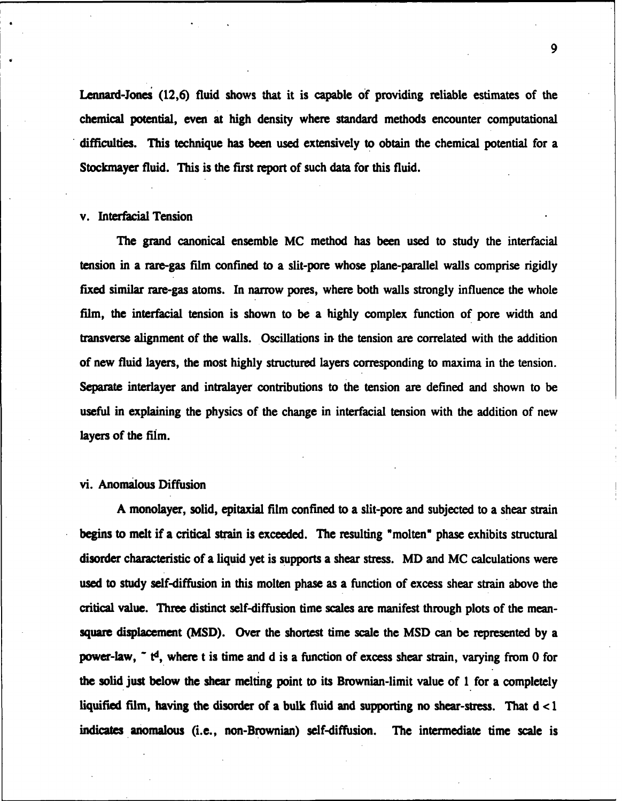Lennard-Jones (12,6) fluid shows that it is capable of providing reliable estimates of the chemical potential, even at high density where standard methods encounter computational difficulties. This technique has been used extensively to obtain the chemical potential for a Stockmayer fluid. This is the first report of such data for this fluid.

### v. Interfacial Tension

The grand canonical ensemble MC method has been used to study the interfacial tension in a rare-gas film confined to a slit-pore whose plane-parallel walls comprise rigidly fixed similar rare-gas atoms. In narrow pores, where both walls strongly influence the whole film, the interfacial tension is shown to be a highly complex function of pore width and transverse alignment of the walls. Oscillations in the tension are correlated with the addition of new fluid layers, the most highly structured layers corresponding to maxima in the tension. Separate interlayer and intralayer contributions to the tension are defined and shown to be useful in explaining the physics of the change in interfacial tension with the addition of new layers of the film.

### vi. Anomalous Diffusion

A monolayer, solid, epitaxial film confined to a slit-pore and subjected to a shear strain begins to melt if a critical strain is exceeded. The resulting "molten" phase exhibits structural disorder characteristic of a liquid yet is supports a shear stress. MD and MC calculations were used to study self-diffusion in this molten phase as a function of excess shear strain above the critical value. Three distinct self-diffusion time scales are manifest through plots of the meansquare displacement (MSD). Over the shortest time scale the MSD can be represented by a power-law, **-** td, where t is time and d is a function of excess shear strain, varying from 0 for the solid just below the shear melting point to its Brownian-limit value of 1 for a completely liquified film, having the disorder of a bulk fluid and supporting no shear-stress. That d < 1 indicates anomalous (i.e., non-Brownian) self-diffusion. The intermediate time scale is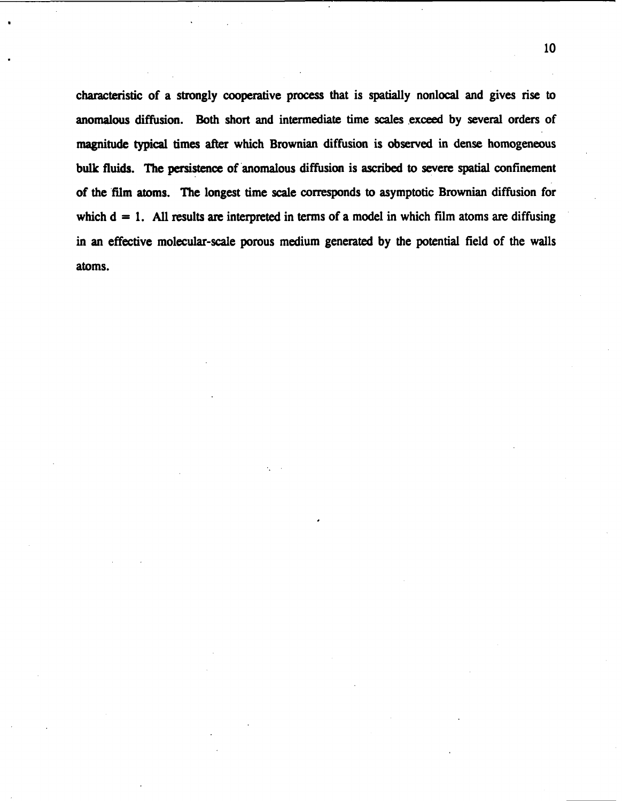characteristic of a strongly cooperative process that is spatially nonlocal and gives rise to anomalous diffusion. Both short and intermediate time scales exceed by several orders of magnitude typical times after which Brownian diffusion is observed in dense homogeneous bulk fluids. The persistence of anomalous diffusion is ascribed to severe spatial confinement of the film atoms. The longest time scale corresponds to asymptotic Brownian diffusion for which  $d = 1$ . All results are interpreted in terms of a model in which film atoms are diffusing in an effective molecular-scale porous medium generated by the potential field of the walls atoms.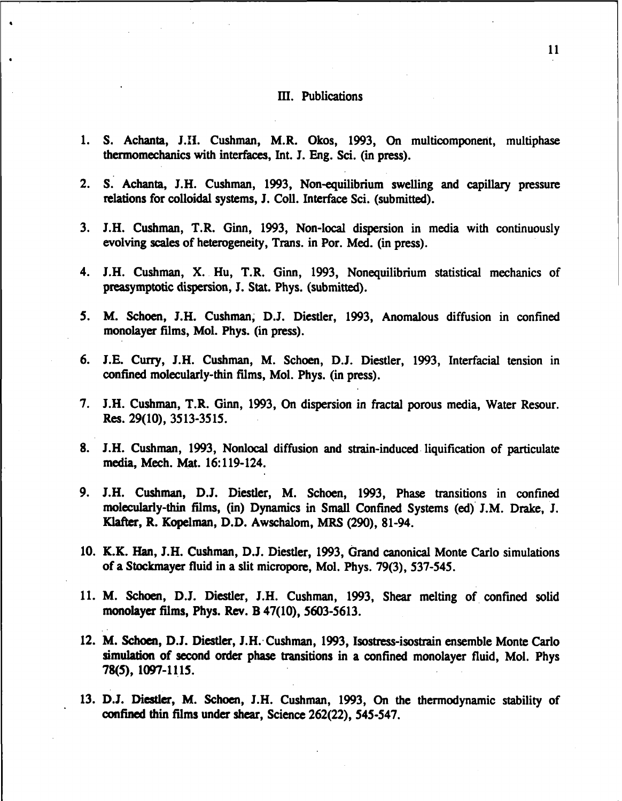### III. Publications

- 1. S. Achanta, J.I. Cushman, M.R. Okos, 1993, On multicomponent, multiphase thermomechanics with interfaces, Int. J. Eng. Sci. (in press).
- 2. S. Achanta, J.H. Cushman, 1993, Non-equilibrium swelling and capillary pressure relations for colloidal systems, J. Coll. Interface Sci. (submitted).
- 3. J.H. Cushman, T.R. Ginn, 1993, Non-local dispersion in media with continuously evolving scales of heterogeneity, Trans. in Por. Med. (in press).
- 4. J.H. Cushman, X. Hu, T.R. Ginn, 1993, Nonequilibrium statistical mechanics of preasymptotic dispersion, **J.** Stat. Phys. (submitted).
- *5.* M. Schoen, J.H. Cushman, D.J. Diestler, 1993, Anomalous diffusion in confined monolayer films, Mol. Phys. (in press).
- 6. I.E. Curry, J.H. Cushman, M. Schoen, D.J. Diestler, 1993, Interfacial tension in confined molecularly-thin films, Mol. Phys. (in press).
- 7. J.H. Cushman, T.R. Ginn, 1993, On dispersion in fractal porous media, Water Resour. Res. 29(10), 3513-3515.
- 8. J.H. Cushman, 1993, Nonlocal diffusion and strain-induced liquification of particulate media, Mech. Mat. 16:119-124.
- 9. J.H. Cushman, D.J. Diestler, M. Schoen, 1993, Phase transitions in confined molecularly-thin films, (in) Dynamics in Small Confined Systems (ed) J.M. Drake, **J.** Klafter, R. Kopelman, D.D. Awschalom, MRS (290), 81-94.
- **10.** K.K. Han, J.H. Cushman, D.J. Diestler, 1993, Grand canonical Monte Carlo simulations of a Stockmayer fluid in a slit micropore, Mol. Phys. 79(3), 537-545.
- 11. M. Schoen, D.J. Diestler, J.H. Cushman, 1993, Shear melting of confined solid monolayer films, Phys. Rev. B 47(10), 5603-5613.
- 12. M. Schoen, D.J. Diestler, J.H. Cushman, 1993, Isostress-isostrain ensemble Monte Carlo simulation of second order phase transitions in a confined monolayer fluid, Mol. Phys 78(5), 1097-1115.
- 13. **D.J.** Diestler, M. Schoen, J.H. Cushman, 1993, On the thermodynamic stability of confined thin films under shear, Science 262(22), 545-547.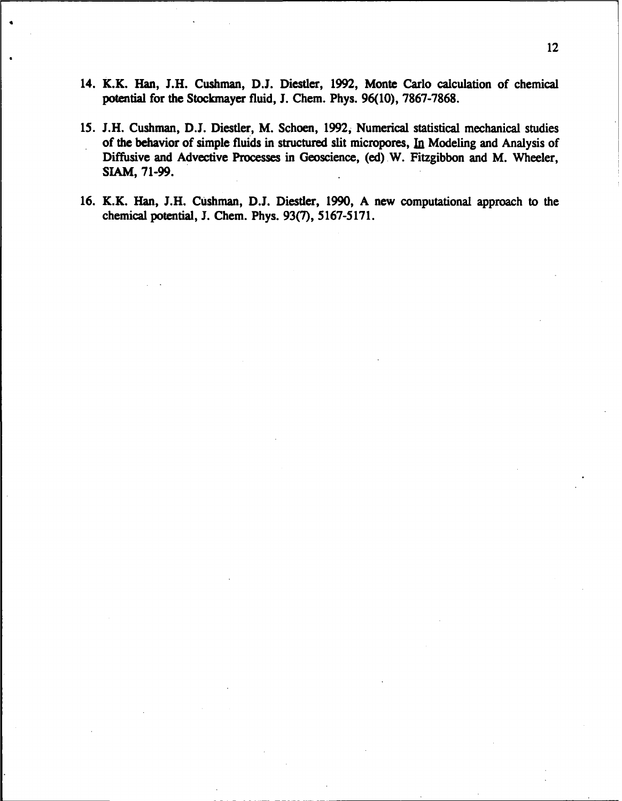- 14. K.K. Han, **J.H.** Cushman, **D.J.** Diestler, 1992, Monte Carlo calculation of chemical potential for the Stockmayer fluid, **J.** Chem. Phys. 96(10), 7867-7868.
- *15.* **J.H.** Cushman, D.J. Diestler, M. Schoen, 1992, Numerical statistical mechanical studies of the behavior of simple fluids in structured slit micropores, In Modeling and Analysis of Diffusive and Advective Processes in Geoscience, (ed) W. Fitzgibbon and M. Wheeler, SIAM, 71-99.
- 16. K.K. Han, J.H. Cushman, D.J. Diestler, 1990, A new computational approach to the chemical potential, J. Chem. Phys. 93(7), 5167-5171.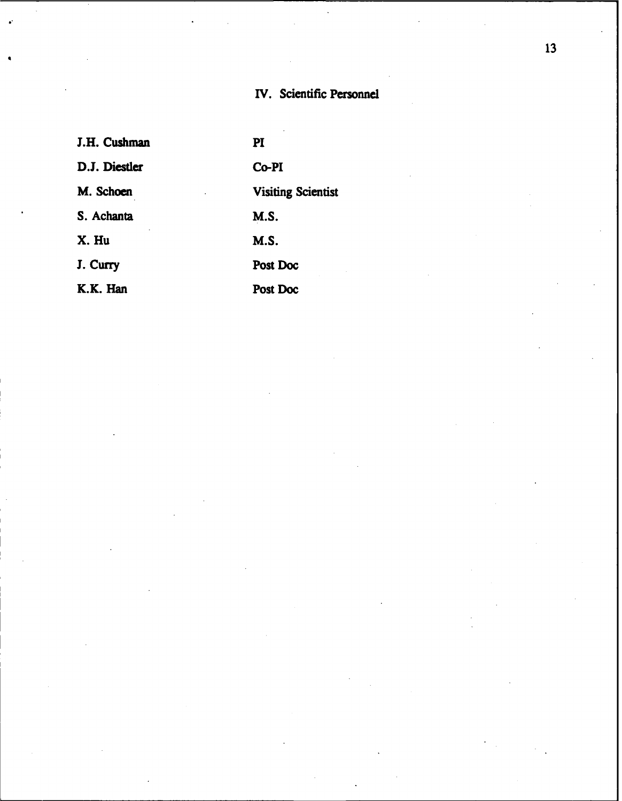# IV. Scientific Personnel

| J.H. Cushman  | $\mathbf{PI}$             |
|---------------|---------------------------|
| D.J. Diestler | Co-PI                     |
| M. Schoen     | <b>Visiting Scientist</b> |
| S. Achanta    | M.S.                      |
| X. Hu         | <b>M.S.</b>               |
| J. Curry      | Post Doc                  |
| K.K. Han      | Post Doc                  |